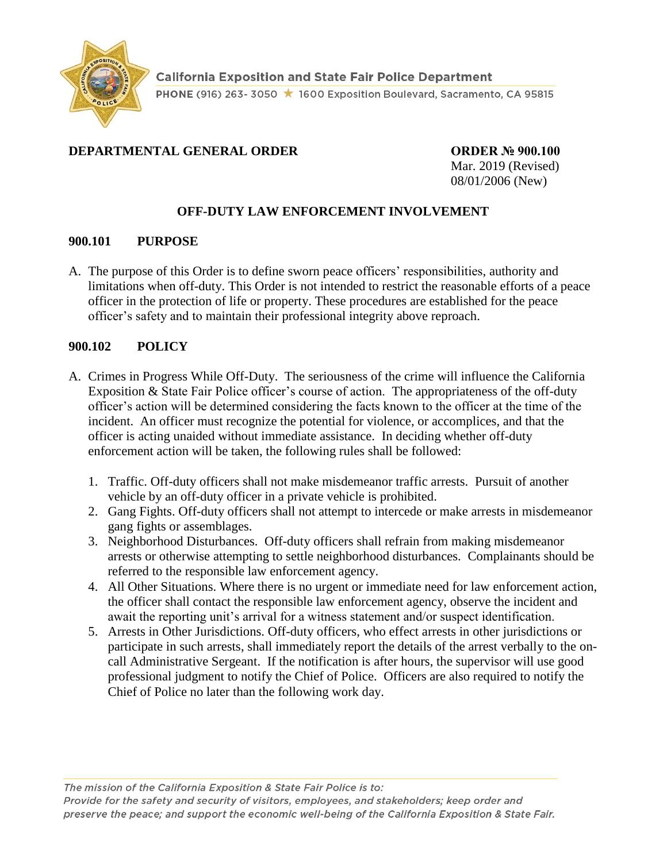

## **DEPARTMENTAL GENERAL ORDER ORDER № 900.100**

Mar. 2019 (Revised) 08/01/2006 (New)

## **OFF-DUTY LAW ENFORCEMENT INVOLVEMENT**

## **900.101 PURPOSE**

A. The purpose of this Order is to define sworn peace officers' responsibilities, authority and limitations when off-duty. This Order is not intended to restrict the reasonable efforts of a peace officer in the protection of life or property. These procedures are established for the peace officer's safety and to maintain their professional integrity above reproach.

## **900.102 POLICY**

- A. Crimes in Progress While Off-Duty. The seriousness of the crime will influence the California Exposition & State Fair Police officer's course of action. The appropriateness of the off-duty officer's action will be determined considering the facts known to the officer at the time of the incident. An officer must recognize the potential for violence, or accomplices, and that the officer is acting unaided without immediate assistance. In deciding whether off-duty enforcement action will be taken, the following rules shall be followed:
	- 1. Traffic. Off-duty officers shall not make misdemeanor traffic arrests. Pursuit of another vehicle by an off-duty officer in a private vehicle is prohibited.
	- 2. Gang Fights. Off-duty officers shall not attempt to intercede or make arrests in misdemeanor gang fights or assemblages.
	- 3. Neighborhood Disturbances. Off-duty officers shall refrain from making misdemeanor arrests or otherwise attempting to settle neighborhood disturbances. Complainants should be referred to the responsible law enforcement agency.
	- 4. All Other Situations. Where there is no urgent or immediate need for law enforcement action, the officer shall contact the responsible law enforcement agency, observe the incident and await the reporting unit's arrival for a witness statement and/or suspect identification.
	- 5. Arrests in Other Jurisdictions. Off-duty officers, who effect arrests in other jurisdictions or participate in such arrests, shall immediately report the details of the arrest verbally to the oncall Administrative Sergeant. If the notification is after hours, the supervisor will use good professional judgment to notify the Chief of Police. Officers are also required to notify the Chief of Police no later than the following work day.